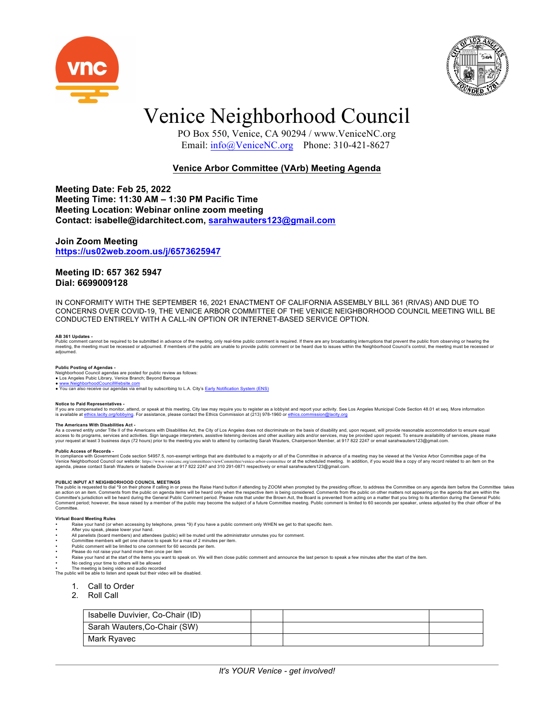



## Venice Neighborhood Council

 PO Box 550, Venice, CA 90294 / www.VeniceNC.org Email: info@VeniceNC.org Phone: 310-421-8627

## **Venice Arbor Committee (VArb) Meeting Agenda**

**Meeting Date: Feb 25, 2022 Meeting Time: 11:30 AM – 1:30 PM Pacific Time Meeting Location: Webinar online zoom meeting Contact: isabelle@idarchitect.com, sarahwauters123@gmail.com**

### **Join Zoom Meeting https://us02web.zoom.us/j/6573625947**

### **Meeting ID: 657 362 5947 Dial: 6699009128**

IN CONFORMITY WITH THE SEPTEMBER 16, 2021 ENACTMENT OF CALIFORNIA ASSEMBLY BILL 361 (RIVAS) AND DUE TO CONCERNS OVER COVID-19, THE VENICE ARBOR COMMITTEE OF THE VENICE NEIGHBORHOOD COUNCIL MEETING WILL BE CONDUCTED ENTIRELY WITH A CALL-IN OPTION OR INTERNET-BASED SERVICE OPTION.

## **AB 361 Updates -**

Public comment cannot be required to be submitted in advance of the meeting, only real-time public comment is required. If there are any broadcasting interruptions that prevent the public form observing or heard of the pub adjourned.

**Public Posting of Agendas -**<br>Neighborhood Council agendas are posted for public review as follows:<br>● Los Angeles Pubic Library, Venice Branch; Beyond Baroque

www.NeighborhoodCouncilWebsite.com

• You can also receive our agendas via email by subscribing to L.A. City's **Early Notification System (ENS)** 

Notice to Paid Representatives -<br>If you are compensated to monitor, attend, or speak at this meeting, City law may require you to register as a lobbyist and report your activity. See Los Angeles Municipal Code Section 48.0 is available at ethics.lacity.org/lobbying. For assistance, please contact the Ethics Commission at (213) 978-1960 or ethics.commission@lacity.org

### **The Americans With Disabilities Act -**

The Americans with Distribution Act of the Americans with Disabilities Act, the City of Los Angeles does not discriminate on the basis of disability and, upon request, will provide reasonable accommodation to ensure equal access to its programs, services and activities. Sign language interpreters, assistive listening devices and other auxiliary aids and/or services, may be provided upon request. To ensure availability of services, please ma

Public Access of Records -<br>In compliance with Government Code section 54957.5, non-exempt writings that are distributed to a majority or all of the Committee in advance of a meeting may be viewed at the Venice Arbor Commit

PUBLIC INPUT AT NEIGHBORHOOD COUNCIL MEETINGS<br>The public is requested to dial \*9 on their phone if calling in or press the Raise Hand button if attending by ZOOM when prompted by the presiding officer, to address the Commi Comment period; however, the issue raised by a member of the public may become the subject of a future Committee meeting. Public comment is limited to 60 seconds per speaker, unless adjusted by the chair officer of the Committee

### **Virtual Board Meeting Rules**

- Raise your hand (or when accessing by telephone, press \*9) if you have a public comment only WHEN we get to that specific item
- 
- After you speak, please lower your hand.<br>• All panelists (board members) and attendees (public) will be muted until the administrator unmutes you for comment.<br>• Committee members will get one chance to speak for a max of
- Public comment will be limited to one comment for 60 seconds per item.
- 
- 
- Please do not raise your hand more then once per item<br>• Raise your hand at the start of the items you want to speak on. We will then close public comment and announce the last person to speak a few minutes after the star • No ceding your time to others will be allowed
- 

• The meeting is being video and audio recorded The public will be able to listen and speak but their video will be disabled.

- 1. Call to Order
- 2. Roll Call
- 

| Isabelle Duvivier, Co-Chair (ID) |  |  |
|----------------------------------|--|--|
| Sarah Wauters, Co-Chair (SW)     |  |  |
| Mark Ryavec                      |  |  |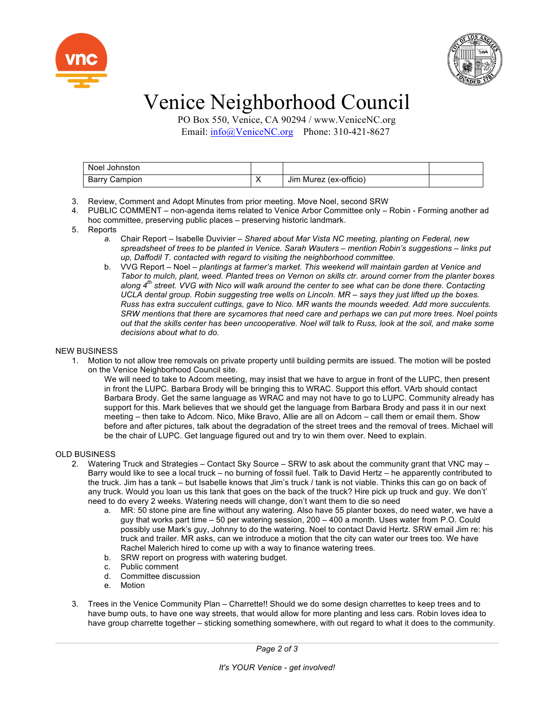



# Venice Neighborhood Council

 PO Box 550, Venice, CA 90294 / www.VeniceNC.org Email: info@VeniceNC.org Phone: 310-421-8627

| Noel Johnston |           |                        |  |
|---------------|-----------|------------------------|--|
| Barry Campion | $\lambda$ | Jim Murez (ex-officio) |  |

- 3. Review, Comment and Adopt Minutes from prior meeting. Move Noel, second SRW
- 4. PUBLIC COMMENT non-agenda items related to Venice Arbor Committee only Robin Forming another ad hoc committee, preserving public places – preserving historic landmark.
- 5. Reports
	- *a.* Chair Report Isabelle Duvivier *Shared about Mar Vista NC meeting, planting on Federal, new spreadsheet of trees to be planted in Venice. Sarah Wauters – mention Robin's suggestions – links put up, Daffodil T. contacted with regard to visiting the neighborhood committee.*
	- b. VVG Report Noel *plantings at farmer's market. This weekend will maintain garden at Venice and Tabor to mulch, plant, weed. Planted trees on Vernon on skills ctr. around corner from the planter boxes along 4th street. VVG with Nico will walk around the center to see what can be done there. Contacting UCLA dental group. Robin suggesting tree wells on Lincoln. MR – says they just lifted up the boxes. Russ has extra succulent cuttings, gave to Nico. MR wants the mounds weeded. Add more succulents. SRW mentions that there are sycamores that need care and perhaps we can put more trees. Noel points out that the skills center has been uncooperative. Noel will talk to Russ, look at the soil, and make some decisions about what to do.*

## NEW BUSINESS

- 1. Motion to not allow tree removals on private property until building permits are issued. The motion will be posted on the Venice Neighborhood Council site.
	- We will need to take to Adcom meeting, may insist that we have to argue in front of the LUPC, then present in front the LUPC. Barbara Brody will be bringing this to WRAC. Support this effort. VArb should contact Barbara Brody. Get the same language as WRAC and may not have to go to LUPC. Community already has support for this. Mark believes that we should get the language from Barbara Brody and pass it in our next meeting – then take to Adcom. Nico, Mike Bravo, Allie are all on Adcom – call them or email them. Show before and after pictures, talk about the degradation of the street trees and the removal of trees. Michael will be the chair of LUPC. Get language figured out and try to win them over. Need to explain.

## OLD BUSINESS

- 2. Watering Truck and Strategies Contact Sky Source SRW to ask about the community grant that VNC may Barry would like to see a local truck – no burning of fossil fuel. Talk to David Hertz – he apparently contributed to the truck. Jim has a tank – but Isabelle knows that Jim's truck / tank is not viable. Thinks this can go on back of any truck. Would you loan us this tank that goes on the back of the truck? Hire pick up truck and guy. We don't' need to do every 2 weeks. Watering needs will change, don't want them to die so need
	- a. MR: 50 stone pine are fine without any watering. Also have 55 planter boxes, do need water, we have a guy that works part time – 50 per watering session, 200 – 400 a month. Uses water from P.O. Could possibly use Mark's guy, Johnny to do the watering. Noel to contact David Hertz. SRW email Jim re: his truck and trailer. MR asks, can we introduce a motion that the city can water our trees too. We have Rachel Malerich hired to come up with a way to finance watering trees.
	- b. SRW report on progress with watering budget.
	- c. Public comment
	- d. Committee discussion
	- e. Motion
- 3. Trees in the Venice Community Plan Charrette!! Should we do some design charrettes to keep trees and to have bump outs, to have one way streets, that would allow for more planting and less cars. Robin loves idea to have group charrette together – sticking something somewhere, with out regard to what it does to the community.